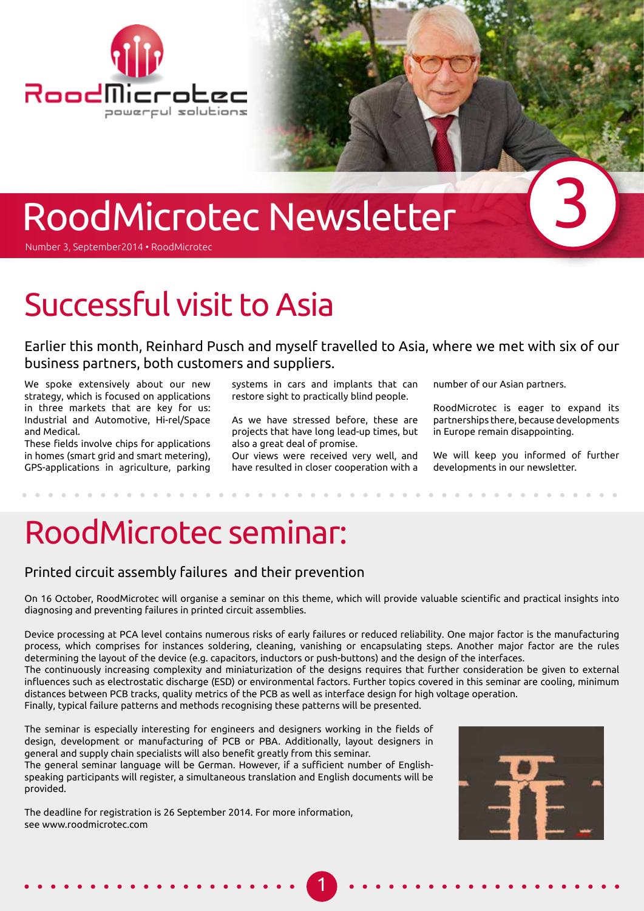

# RoodMicrotec Newsletter

Number 3, September2014 • RoodMicrotec

## Successful visit to Asia

Earlier this month, Reinhard Pusch and myself travelled to Asia, where we met with six of our business partners, both customers and suppliers.

We spoke extensively about our new strategy, which is focused on applications in three markets that are key for us: Industrial and Automotive, Hi-rel/Space and Medical.

These fields involve chips for applications in homes (smart grid and smart metering), GPS-applications in agriculture, parking

systems in cars and implants that can restore sight to practically blind people.

As we have stressed before, these are projects that have long lead-up times, but also a great deal of promise.

Our views were received very well, and have resulted in closer cooperation with a

number of our Asian partners.

RoodMicrotec is eager to expand its partnerships there, because developments in Europe remain disappointing.

3

We will keep you informed of further developments in our newsletter.

## RoodMicrotec seminar:

#### Printed circuit assembly failures and their prevention

On 16 October, RoodMicrotec will organise a seminar on this theme, which will provide valuable scientific and practical insights into diagnosing and preventing failures in printed circuit assemblies.

Device processing at PCA level contains numerous risks of early failures or reduced reliability. One major factor is the manufacturing process, which comprises for instances soldering, cleaning, vanishing or encapsulating steps. Another major factor are the rules determining the layout of the device (e.g. capacitors, inductors or push-buttons) and the design of the interfaces.

The continuously increasing complexity and miniaturization of the designs requires that further consideration be given to external influences such as electrostatic discharge (ESD) or environmental factors. Further topics covered in this seminar are cooling, minimum distances between PCB tracks, quality metrics of the PCB as well as interface design for high voltage operation.

1

Finally, typical failure patterns and methods recognising these patterns will be presented.

The seminar is especially interesting for engineers and designers working in the fields of design, development or manufacturing of PCB or PBA. Additionally, layout designers in general and supply chain specialists will also benefit greatly from this seminar. The general seminar language will be German. However, if a sufficient number of Englishspeaking participants will register, a simultaneous translation and English documents will be provided.

The deadline for registration is 26 September 2014. For more information, see www.roodmicrotec.com

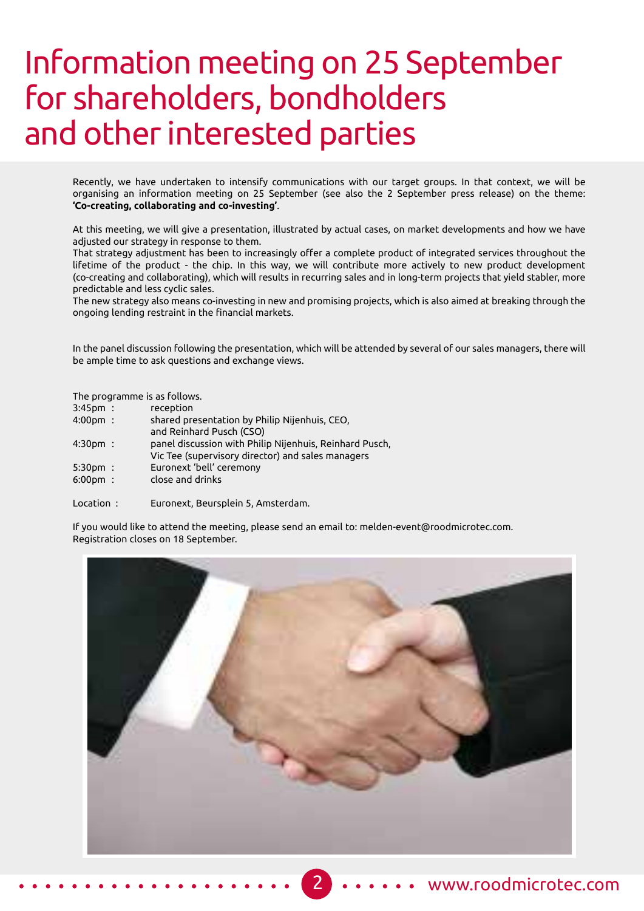## Information meeting on 25 September for shareholders, bondholders and other interested parties

Recently, we have undertaken to intensify communications with our target groups. In that context, we will be organising an information meeting on 25 September (see also the 2 September press release) on the theme: **'Co-creating, collaborating and co-investing'**.

At this meeting, we will give a presentation, illustrated by actual cases, on market developments and how we have adjusted our strategy in response to them.

That strategy adjustment has been to increasingly offer a complete product of integrated services throughout the lifetime of the product - the chip. In this way, we will contribute more actively to new product development (co-creating and collaborating), which will results in recurring sales and in long-term projects that yield stabler, more predictable and less cyclic sales.

The new strategy also means co-investing in new and promising projects, which is also aimed at breaking through the ongoing lending restraint in the financial markets.

In the panel discussion following the presentation, which will be attended by several of our sales managers, there will be ample time to ask questions and exchange views.

The programme is as follows.

| $3:45$ pm:         | reception                                     |
|--------------------|-----------------------------------------------|
| $4:00 \text{pm}$ : | shared presentation by Philip Nijenhuis, CEO, |
|                    | and Reinhard Pusch (CSO)                      |
|                    |                                               |

- 4:30pm : panel discussion with Philip Nijenhuis, Reinhard Pusch, Vic Tee (supervisory director) and sales managers
- 5:30pm : Euronext 'bell' ceremony
- 6:00pm : close and drinks

Location : Euronext, Beursplein 5, Amsterdam.

If you would like to attend the meeting, please send an email to: melden-event@roodmicrotec.com. Registration closes on 18 September.